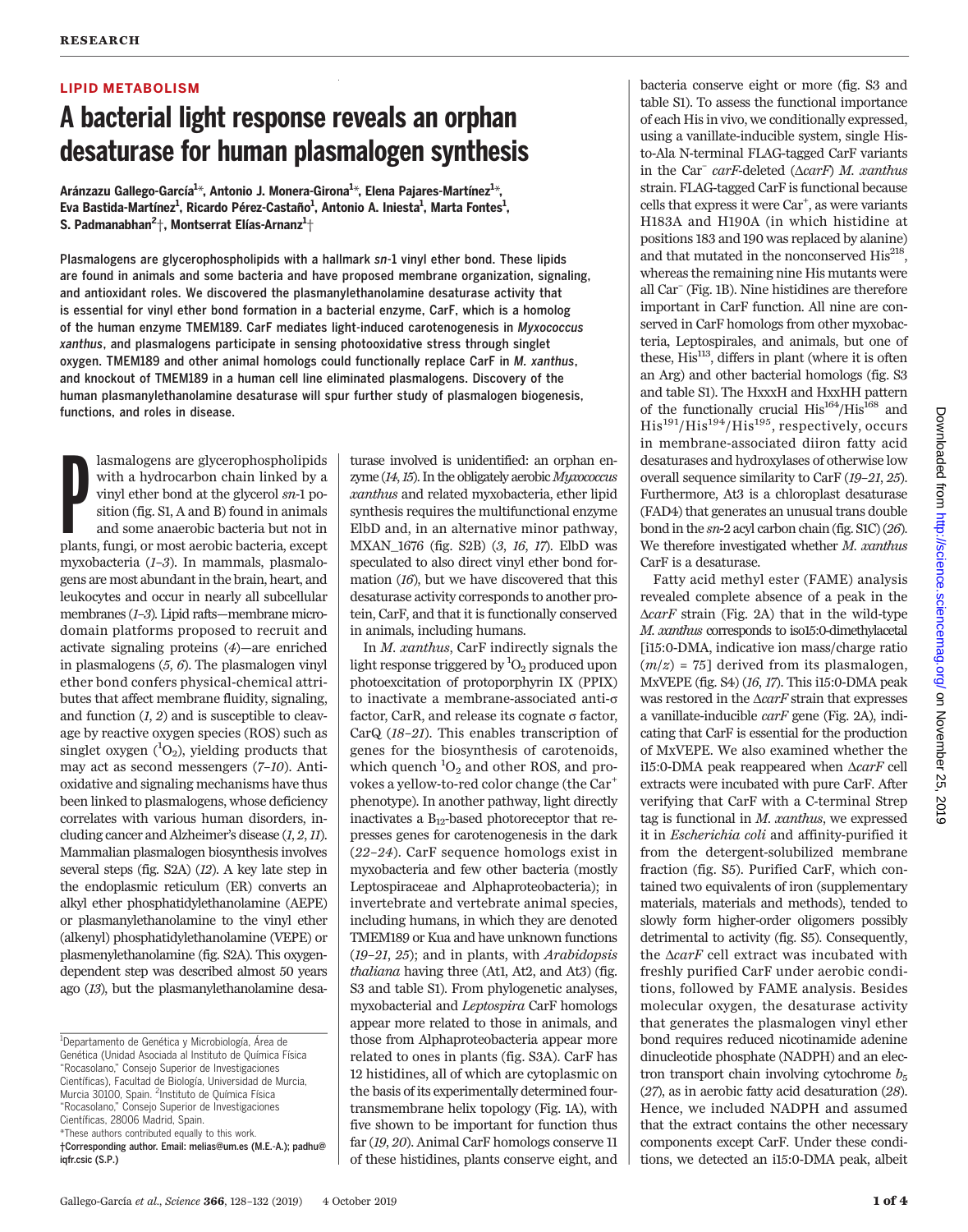# LIPID METABOLISM

# A bacterial light response reveals an orphan desaturase for human plasmalogen synthesis

Aránzazu Gallego-García<sup>1</sup>\*, Antonio J. Monera-Girona<sup>1</sup>\*, Elena Pajares-Martínez<sup>1</sup>\*, Eva Bastida-Martínez<sup>1</sup>, Ricardo Pérez-Castaño<sup>1</sup>, Antonio A. Iniesta<sup>1</sup>, Marta Fontes<sup>1</sup>, S. Padmanabhan $^2\! \dagger$ , Montserrat Elías-Arnanz $^1\! \dagger$ 

Plasmalogens are glycerophospholipids with a hallmark sn-1 vinyl ether bond. These lipids are found in animals and some bacteria and have proposed membrane organization, signaling, and antioxidant roles. We discovered the plasmanylethanolamine desaturase activity that is essential for vinyl ether bond formation in a bacterial enzyme, CarF, which is a homolog of the human enzyme TMEM189. CarF mediates light-induced carotenogenesis in Myxococcus xanthus, and plasmalogens participate in sensing photooxidative stress through singlet oxygen. TMEM189 and other animal homologs could functionally replace CarF in M. xanthus, and knockout of TMEM189 in a human cell line eliminated plasmalogens. Discovery of the human plasmanylethanolamine desaturase will spur further study of plasmalogen biogenesis, functions, and roles in disease.

lasmalogens are glycerophospholipids<br>with a hydrocarbon chain linked by a<br>vinyl ether bond at the glycerol  $sn-1$  po-<br>sition (fig. SI, A and B) found in animals<br>and some anaerobic bacteria but not in<br>plants, fungi, or most lasmalogens are glycerophospholipids with a hydrocarbon chain linked by a vinyl ether bond at the glycerol sn-1 position (fig. S1, A and B) found in animals and some anaerobic bacteria but not in myxobacteria (1–3). In mammals, plasmalogens are most abundant in the brain, heart, and leukocytes and occur in nearly all subcellular membranes (1–3). Lipid rafts—membrane microdomain platforms proposed to recruit and activate signaling proteins (4)—are enriched in plasmalogens  $(5, 6)$ . The plasmalogen vinyl ether bond confers physical-chemical attributes that affect membrane fluidity, signaling, and function  $(1, 2)$  and is susceptible to cleavage by reactive oxygen species (ROS) such as singlet oxygen  $(^1O_2)$ , yielding products that may act as second messengers (7–10). Antioxidative and signaling mechanisms have thus been linked to plasmalogens, whose deficiency correlates with various human disorders, including cancer and Alzheimer's disease (1, 2,11). Mammalian plasmalogen biosynthesis involves several steps (fig. S2A) (12). A key late step in the endoplasmic reticulum (ER) converts an alkyl ether phosphatidylethanolamine (AEPE) or plasmanylethanolamine to the vinyl ether (alkenyl) phosphatidylethanolamine (VEPE) or plasmenylethanolamine (fig. S2A). This oxygendependent step was described almost 50 years ago (13), but the plasmanylethanolamine desa-

turase involved is unidentified: an orphan enzyme (14,15). In the obligately aerobic Myxococcus xanthus and related myxobacteria, ether lipid synthesis requires the multifunctional enzyme ElbD and, in an alternative minor pathway, MXAN\_1676 (fig. S2B) (3, 16, 17). ElbD was speculated to also direct vinyl ether bond formation (16), but we have discovered that this desaturase activity corresponds to another protein, CarF, and that it is functionally conserved in animals, including humans.

In M. xanthus, CarF indirectly signals the light response triggered by  ${}^1\!{\rm O}_2$  produced upon photoexcitation of protoporphyrin IX (PPIX) to inactivate a membrane-associated anti-s factor, CarR, and release its cognate  $\sigma$  factor, CarQ (18–21). This enables transcription of genes for the biosynthesis of carotenoids, which quench  ${}^{1}O_{2}$  and other ROS, and provokes a yellow-to-red color change (the Car<sup>+</sup> phenotype). In another pathway, light directly inactivates a  $B_{12}$ -based photoreceptor that represses genes for carotenogenesis in the dark (22–24). CarF sequence homologs exist in myxobacteria and few other bacteria (mostly Leptospiraceae and Alphaproteobacteria); in invertebrate and vertebrate animal species, including humans, in which they are denoted TMEM189 or Kua and have unknown functions (19–21, 25); and in plants, with Arabidopsis thaliana having three (At1, At2, and At3) (fig. S3 and table S1). From phylogenetic analyses, myxobacterial and Leptospira CarF homologs appear more related to those in animals, and those from Alphaproteobacteria appear more related to ones in plants (fig. S3A). CarF has 12 histidines, all of which are cytoplasmic on the basis of its experimentally determined fourtransmembrane helix topology (Fig. 1A), with five shown to be important for function thus far (19, 20). Animal CarF homologs conserve 11 of these histidines, plants conserve eight, and

bacteria conserve eight or more (fig. S3 and table S1). To assess the functional importance of each His in vivo, we conditionally expressed, using a vanillate-inducible system, single Histo-Ala N-terminal FLAG-tagged CarF variants in the Car<sup>–</sup> carF-deleted ( $\triangle carF$ ) M. xanthus strain. FLAG-tagged CarF is functional because cells that express it were Car<sup>+</sup>, as were variants H183A and H190A (in which histidine at positions 183 and 190 was replaced by alanine) and that mutated in the nonconserved  $His<sup>218</sup>$ , whereas the remaining nine His mutants were all Car– (Fig. 1B). Nine histidines are therefore important in CarF function. All nine are conserved in CarF homologs from other myxobacteria, Leptospirales, and animals, but one of these,  $His<sup>113</sup>$ , differs in plant (where it is often an Arg) and other bacterial homologs (fig. S3 and table S1). The HxxxH and HxxHH pattern of the functionally crucial  $\mathrm{His}^{164}/\mathrm{His}^{168}$  and His191/His194/His195, respectively, occurs in membrane-associated diiron fatty acid desaturases and hydroxylases of otherwise low overall sequence similarity to CarF (19–21, 25). Furthermore, At3 is a chloroplast desaturase (FAD4) that generates an unusual trans double bond in the  $sn-2$  acyl carbon chain (fig. S1C) (26). We therefore investigated whether M. xanthus CarF is a desaturase.

Fatty acid methyl ester (FAME) analysis revealed complete absence of a peak in the  $\triangle carF$  strain (Fig. 2A) that in the wild-type M. xanthus corresponds to iso15:0-dimethylacetal [i15:0-DMA, indicative ion mass/charge ratio  $(m/z) = 75$ ] derived from its plasmalogen, MxVEPE (fig. S4) (16, 17). This i15:0-DMA peak was restored in the  $\triangle carF$  strain that expresses a vanillate-inducible carF gene (Fig. 2A), indicating that CarF is essential for the production of MxVEPE. We also examined whether the i15:0-DMA peak reappeared when  $\triangle carF$  cell extracts were incubated with pure CarF. After verifying that CarF with a C-terminal Strep tag is functional in  $M.$  xanthus, we expressed it in Escherichia coli and affinity-purified it from the detergent-solubilized membrane fraction (fig. S5). Purified CarF, which contained two equivalents of iron (supplementary materials, materials and methods), tended to slowly form higher-order oligomers possibly detrimental to activity (fig. S5). Consequently, the  $\triangle carF$  cell extract was incubated with freshly purified CarF under aerobic conditions, followed by FAME analysis. Besides molecular oxygen, the desaturase activity that generates the plasmalogen vinyl ether bond requires reduced nicotinamide adenine dinucleotide phosphate (NADPH) and an electron transport chain involving cytochrome  $b_5$ (27), as in aerobic fatty acid desaturation (28). Hence, we included NADPH and assumed that the extract contains the other necessary components except CarF. Under these conditions, we detected an i15:0-DMA peak, albeit

<sup>&</sup>lt;sup>1</sup>Departamento de Genética y Microbiología, Área de Genética (Unidad Asociada al Instituto de Química Física "Rocasolano," Consejo Superior de Investigaciones Científicas), Facultad de Biología, Universidad de Murcia, Murcia 30100, Spain. <sup>2</sup>Instituto de Química Física "Rocasolano," Consejo Superior de Investigaciones Científicas, 28006 Madrid, Spain. \*These authors contributed equally to this work.

<sup>†</sup>Corresponding author. Email: melias@um.es (M.E.-A.); padhu@ iqfr.csic (S.P.)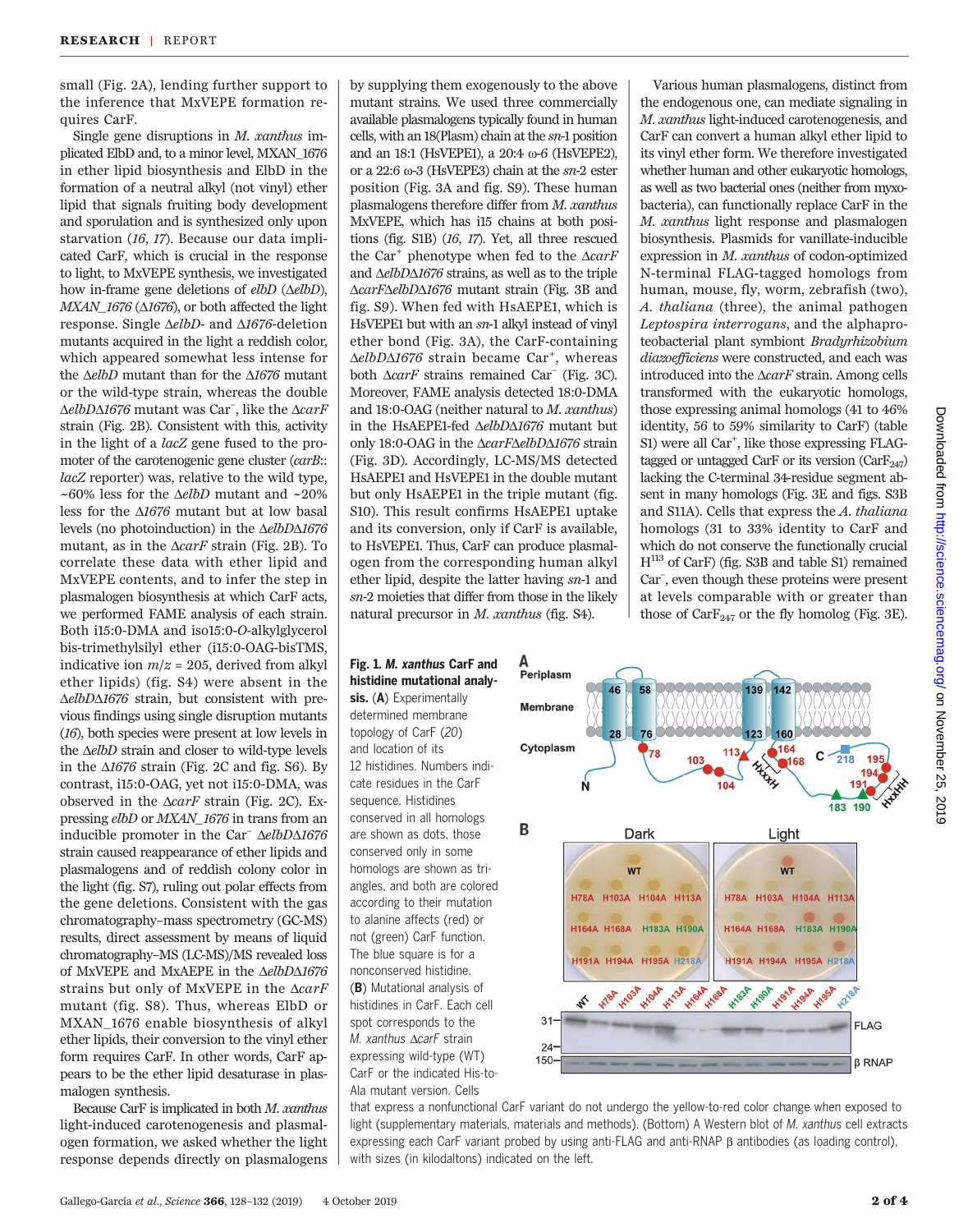small (Fig. 2A), lending further support to the inference that MxVEPE formation requires CarF.

Single gene disruptions in  $M$ . xanthus implicated ElbD and, to a minor level, MXAN\_1676 in ether lipid biosynthesis and ElbD in the formation of a neutral alkyl (not vinyl) ether lipid that signals fruiting body development and sporulation and is synthesized only upon starvation (16, 17). Because our data implicated CarF, which is crucial in the response to light, to MxVEPE synthesis, we investigated how in-frame gene deletions of  $elbD$  ( $\triangle elbD$ ),  $MXAN_1676$  ( $\Delta1676$ ), or both affected the light response. Single  $\Delta elbD$ - and  $\Delta 1676$ -deletion mutants acquired in the light a reddish color, which appeared somewhat less intense for the  $\Delta elbD$  mutant than for the  $\Delta 1676$  mutant or the wild-type strain, whereas the double  $\triangle elb$ D $\triangle 1676$  mutant was Car<sup>-</sup>, like the  $\triangle carF$ strain (Fig. 2B). Consistent with this, activity in the light of a lacZ gene fused to the promoter of the carotenogenic gene cluster (carB:: lacZ reporter) was, relative to the wild type, ~60% less for the  $\Delta elbD$  mutant and ~20% less for the  $\Delta 1676$  mutant but at low basal levels (no photoinduction) in the  $\Delta elbD\Delta1676$ mutant, as in the  $\triangle carF$  strain (Fig. 2B). To correlate these data with ether lipid and MxVEPE contents, and to infer the step in plasmalogen biosynthesis at which CarF acts, we performed FAME analysis of each strain. Both i15:0-DMA and iso15:0-O-alkylglycerol bis-trimethylsilyl ether (i15:0-OAG-bisTMS, indicative ion  $m/z = 205$ , derived from alkyl ether lipids) (fig. S4) were absent in the  $\Delta elbD\Delta 1676$  strain, but consistent with previous findings using single disruption mutants (16), both species were present at low levels in the  $\triangle elbD$  strain and closer to wild-type levels in the  $\Delta 1676$  strain (Fig. 2C and fig. S6). By contrast, i15:0-OAG, yet not i15:0-DMA, was observed in the  $\triangle carF$  strain (Fig. 2C). Expressing elbD or MXAN\_1676 in trans from an inducible promoter in the Car<sup>–</sup>  $\Delta elbD\Delta1676$ strain caused reappearance of ether lipids and plasmalogens and of reddish colony color in the light (fig. S7), ruling out polar effects from the gene deletions. Consistent with the gas chromatography–mass spectrometry (GC-MS) results, direct assessment by means of liquid chromatography–MS (LC-MS)/MS revealed loss of MxVEPE and MxAEPE in the  $\Delta elbD\Delta1676$ strains but only of MxVEPE in the  $\triangle carF$ mutant (fig. S8). Thus, whereas ElbD or MXAN\_1676 enable biosynthesis of alkyl ether lipids, their conversion to the vinyl ether form requires CarF. In other words, CarF appears to be the ether lipid desaturase in plasmalogen synthesis.

Because CarF is implicated in both M. xanthus light-induced carotenogenesis and plasmalogen formation, we asked whether the light response depends directly on plasmalogens

by supplying them exogenously to the above mutant strains. We used three commercially available plasmalogens typically found in human cells, with an 18(Plasm) chain at the sn-1 position and an 18:1 (HsVEPE1), a 20:4 w-6 (HsVEPE2), or a 22:6  $\omega$ -3 (HsVEPE3) chain at the  $sn$ -2 ester position (Fig. 3A and fig. S9). These human plasmalogens therefore differ from M. xanthus MxVEPE, which has i15 chains at both positions (fig. S1B) (16, 17). Yet, all three rescued the Car<sup>+</sup> phenotype when fed to the  $\triangle carF$ and  $\Delta elbD\Delta 1676$  strains, as well as to the triple  $\triangle carF\triangle elb$ D $\triangle 1676$  mutant strain (Fig. 3B and fig. S9). When fed with HsAEPE1, which is HsVEPE1 but with an sn-1 alkyl instead of vinyl ether bond (Fig. 3A), the CarF-containing  $\Delta elbD\Delta 1676$  strain became Car<sup>+</sup>, whereas both  $\triangle carF$  strains remained Car<sup>–</sup> (Fig. 3C). Moreover, FAME analysis detected 18:0-DMA and 18:0-OAG (neither natural to M. xanthus) in the HsAEPE1-fed  $\Delta elbD\Delta1676$  mutant but only 18:0-OAG in the  $\triangle carF\triangle elbD\triangle 1676$  strain (Fig. 3D). Accordingly, LC-MS/MS detected HsAEPE1 and HsVEPE1 in the double mutant but only HsAEPE1 in the triple mutant (fig. S10). This result confirms HsAEPE1 uptake and its conversion, only if CarF is available, to HsVEPE1. Thus, CarF can produce plasmalogen from the corresponding human alkyl ether lipid, despite the latter having sn-1 and sn-2 moieties that differ from those in the likely natural precursor in M. xanthus (fig. S4).

sis. (A) Experimentally determined membrane topology of CarF (20) and location of its 12 histidines. Numbers indicate residues in the CarF sequence. Histidines conserved in all homologs are shown as dots, those conserved only in some homologs are shown as tri-

according to their mutation to alanine affects (red) or not (green) CarF function. The blue square is for a nonconserved histidine. (B) Mutational analysis of histidines in CarF. Each cell spot corresponds to the M. xanthus AcarF strain expressing wild-type (WT)

Ala mutant version. Cells

Various human plasmalogens, distinct from the endogenous one, can mediate signaling in M. xanthus light-induced carotenogenesis, and CarF can convert a human alkyl ether lipid to its vinyl ether form. We therefore investigated whether human and other eukaryotic homologs, as well as two bacterial ones (neither from myxobacteria), can functionally replace CarF in the M. xanthus light response and plasmalogen biosynthesis. Plasmids for vanillate-inducible expression in M. xanthus of codon-optimized N-terminal FLAG-tagged homologs from human, mouse, fly, worm, zebrafish (two), A. thaliana (three), the animal pathogen Leptospira interrogans, and the alphaproteobacterial plant symbiont Bradyrhizobium diazoefficiens were constructed, and each was introduced into the  $\triangle carF$  strain. Among cells transformed with the eukaryotic homologs, those expressing animal homologs (41 to 46% identity, 56 to 59% similarity to CarF) (table S1) were all Car<sup>+</sup>, like those expressing FLAGtagged or untagged CarF or its version  $(CarF_{247})$ lacking the C-terminal 34-residue segment absent in many homologs (Fig. 3E and figs. S3B and S11A). Cells that express the A. thaliana homologs (31 to 33% identity to CarF and which do not conserve the functionally crucial  $H^{113}$  of CarF) (fig. S3B and table S1) remained Car– , even though these proteins were present at levels comparable with or greater than those of  $CarF<sub>247</sub>$  or the fly homolog (Fig. 3E).



that express a nonfunctional CarF variant do not undergo the yellow-to-red color change when exposed to light (supplementary materials, materials and methods). (Bottom) A Western blot of M. xanthus cell extracts expressing each CarF variant probed by using anti-FLAG and anti-RNAP β antibodies (as loading control), with sizes (in kilodaltons) indicated on the left.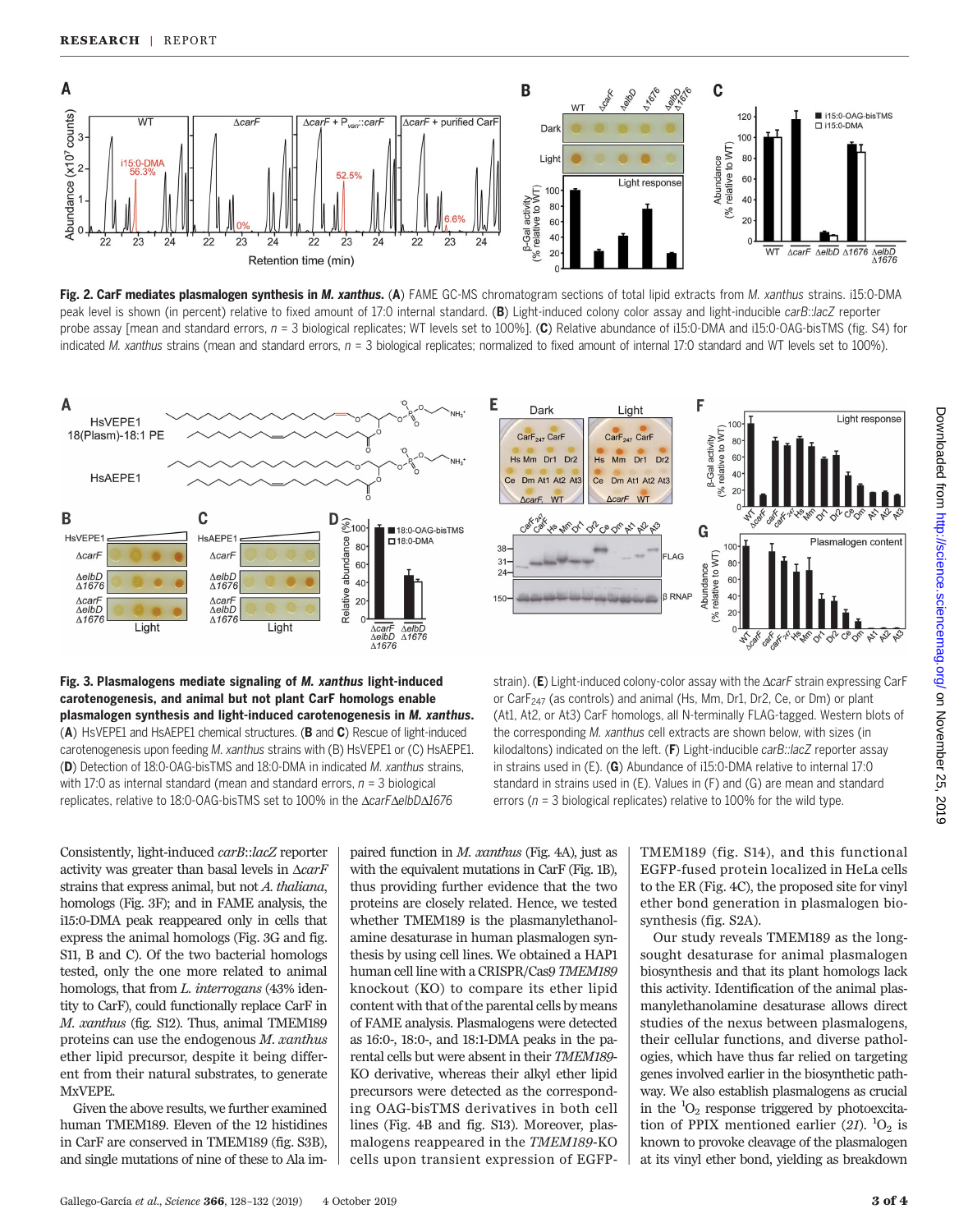





Fig. 3. Plasmalogens mediate signaling of M. xanthus light-induced carotenogenesis, and animal but not plant CarF homologs enable plasmalogen synthesis and light-induced carotenogenesis in M. xanthus. (A) HsVEPE1 and HsAEPE1 chemical structures. (B and C) Rescue of light-induced carotenogenesis upon feeding M. xanthus strains with (B) HsVEPE1 or (C) HsAEPE1. (D) Detection of 18:0-OAG-bisTMS and 18:0-DMA in indicated M. xanthus strains, with 17:0 as internal standard (mean and standard errors,  $n = 3$  biological replicates, relative to 18:0-OAG-bisTMS set to 100% in the AcarFAelbDA1676



strain). (E) Light-induced colony-color assay with the  $\Delta carF$  strain expressing CarF or Car $F_{247}$  (as controls) and animal (Hs, Mm, Dr1, Dr2, Ce, or Dm) or plant (At1, At2, or At3) CarF homologs, all N-terminally FLAG-tagged. Western blots of the corresponding M. xanthus cell extracts are shown below, with sizes (in kilodaltons) indicated on the left. (F) Light-inducible carB::lacZ reporter assay in strains used in (E). (G) Abundance of i15:0-DMA relative to internal 17:0 standard in strains used in (E). Values in (F) and (G) are mean and standard errors ( $n = 3$  biological replicates) relative to 100% for the wild type.

Consistently, light-induced carB::lacZ reporter activity was greater than basal levels in  $\triangle carF$ strains that express animal, but not A. thaliana, homologs (Fig. 3F); and in FAME analysis, the i15:0-DMA peak reappeared only in cells that express the animal homologs (Fig. 3G and fig. S11, B and C). Of the two bacterial homologs tested, only the one more related to animal homologs, that from L. interrogans (43% identity to CarF), could functionally replace CarF in M. xanthus (fig. S12). Thus, animal TMEM189 proteins can use the endogenous M. xanthus ether lipid precursor, despite it being different from their natural substrates, to generate MxVEPE.

Given the above results, we further examined human TMEM189. Eleven of the 12 histidines in CarF are conserved in TMEM189 (fig. S3B), and single mutations of nine of these to Ala im-

paired function in M. xanthus (Fig. 4A), just as with the equivalent mutations in CarF (Fig. 1B), thus providing further evidence that the two proteins are closely related. Hence, we tested whether TMEM189 is the plasmanylethanolamine desaturase in human plasmalogen synthesis by using cell lines. We obtained a HAP1 human cell line with a CRISPR/Cas9 TMEM189 knockout (KO) to compare its ether lipid content with that of the parental cells by means of FAME analysis. Plasmalogens were detected as 16:0-, 18:0-, and 18:1-DMA peaks in the parental cells but were absent in their TMEM189- KO derivative, whereas their alkyl ether lipid precursors were detected as the corresponding OAG-bisTMS derivatives in both cell lines (Fig. 4B and fig. S13). Moreover, plasmalogens reappeared in the TMEM189-KO cells upon transient expression of EGFP- TMEM189 (fig. S14), and this functional EGFP-fused protein localized in HeLa cells to the ER (Fig. 4C), the proposed site for vinyl ether bond generation in plasmalogen biosynthesis (fig. S2A).

Our study reveals TMEM189 as the longsought desaturase for animal plasmalogen biosynthesis and that its plant homologs lack this activity. Identification of the animal plasmanylethanolamine desaturase allows direct studies of the nexus between plasmalogens, their cellular functions, and diverse pathologies, which have thus far relied on targeting genes involved earlier in the biosynthetic pathway. We also establish plasmalogens as crucial in the  ${}^{1}O_{2}$  response triggered by photoexcitation of PPIX mentioned earlier (21).  ${}^{1}O_{2}$  is known to provoke cleavage of the plasmalogen at its vinyl ether bond, yielding as breakdown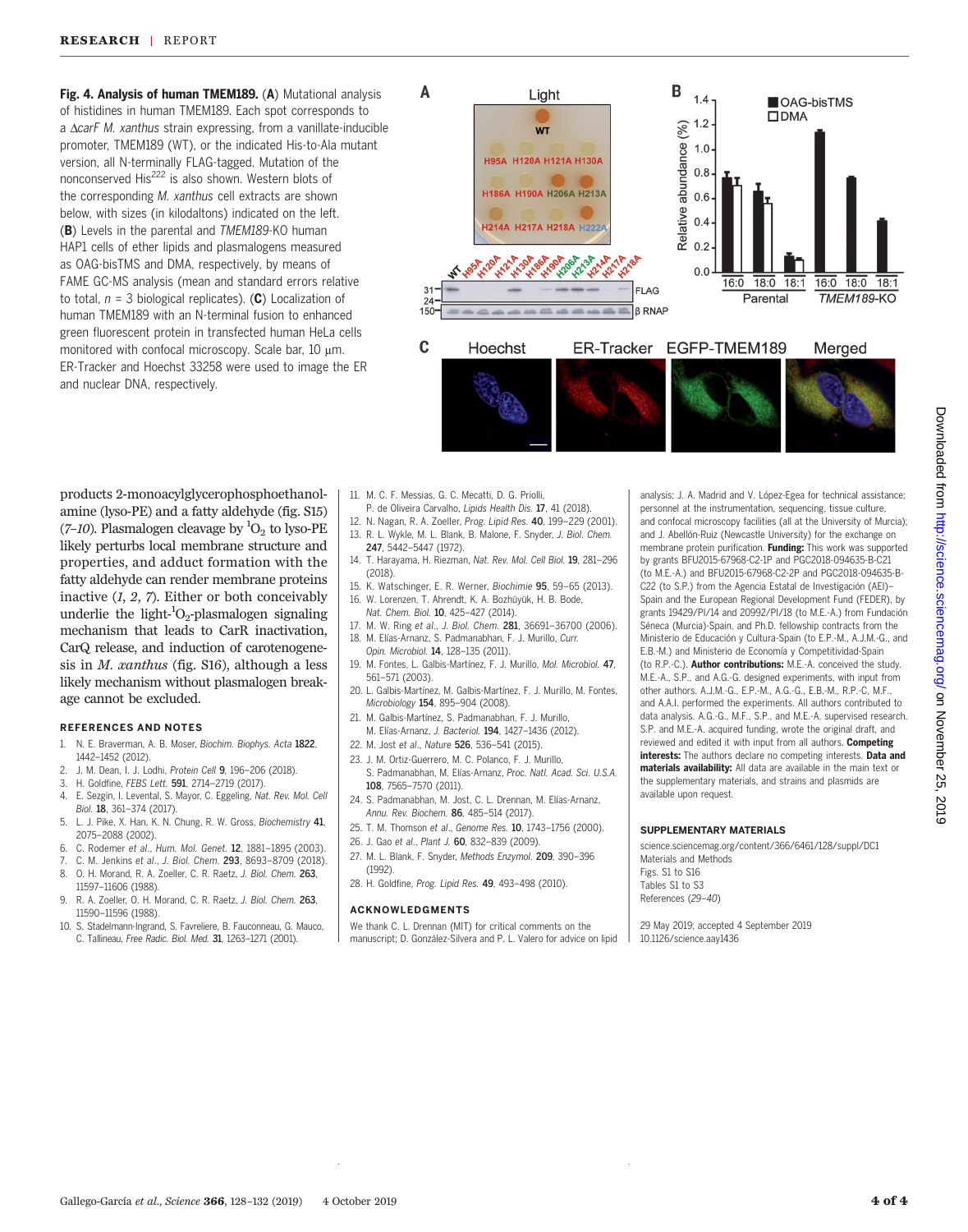Fig. 4. Analysis of human TMEM189. (A) Mutational analysis of histidines in human TMEM189. Each spot corresponds to a  $\triangle$ carF M. xanthus strain expressing, from a vanillate-inducible promoter, TMEM189 (WT), or the indicated His-to-Ala mutant version, all N-terminally FLAG-tagged. Mutation of the nonconserved His<sup>222</sup> is also shown. Western blots of the corresponding M. xanthus cell extracts are shown below, with sizes (in kilodaltons) indicated on the left. (B) Levels in the parental and TMEM189-KO human HAP1 cells of ether lipids and plasmalogens measured as OAG-bisTMS and DMA, respectively, by means of FAME GC-MS analysis (mean and standard errors relative to total,  $n = 3$  biological replicates). (C) Localization of human TMEM189 with an N-terminal fusion to enhanced green fluorescent protein in transfected human HeLa cells monitored with confocal microscopy. Scale bar,  $10 \mu m$ . ER-Tracker and Hoechst 33258 were used to image the ER and nuclear DNA, respectively.



products 2-monoacylglycerophosphoethanolamine (lyso-PE) and a fatty aldehyde (fig. S15) (7-10). Plasmalogen cleavage by  ${}^{1}O_{2}$  to lyso-PE likely perturbs local membrane structure and properties, and adduct formation with the fatty aldehyde can render membrane proteins inactive  $(1, 2, 7)$ . Either or both conceivably underlie the light- ${}^{1}O_{2}$ -plasmalogen signaling mechanism that leads to CarR inactivation, CarQ release, and induction of carotenogenesis in  $M.$  xanthus (fig. S16), although a less likely mechanism without plasmalogen breakage cannot be excluded.

## REFERENCES AND NOTES

- 1. N. E. Braverman, A. B. Moser, Biochim. Biophys. Acta 1822, 1442–1452 (2012).
- 2. J. M. Dean, I. J. Lodhi, Protein Cell 9, 196–206 (2018).
- 3. H. Goldfine, FEBS Lett. **591**, 2714–2719 (2017).<br>4. E. Sezgin. J. Levental. S. Mayor. C. Eggeling. Na
- 4. E. Sezgin, I. Levental, S. Mayor, C. Eggeling, Nat. Rev. Mol. Cell Biol. 18, 361–374 (2017).
- 5. L. J. Pike, X. Han, K. N. Chung, R. W. Gross, Biochemistry 41, 2075–2088 (2002).
- 6. C. Rodemer et al., Hum. Mol. Genet. 12, 1881–1895 (2003).
- 7. C. M. Jenkins et al., J. Biol. Chem. 293, 8693-8709 (2018).<br>8. O. H. Morand. R. A. Zoeller. C. R. Raetz. J. Biol. Chem. 263.
- 0. H. Morand, R. A. Zoeller, C. R. Raetz, J. Biol. Chem. 263, 11597–11606 (1988).
- 9. R. A. Zoeller, O. H. Morand, C. R. Raetz, J. Biol. Chem. 263, 11590–11596 (1988).
- 10. S. Stadelmann-Ingrand, S. Favreliere, B. Fauconneau, G. Mauco, C. Tallineau, Free Radic. Biol. Med. 31, 1263–1271 (2001).
- 11. M. C. F. Messias, G. C. Mecatti, D. G. Priolli,
- P. de Oliveira Carvalho, Lipids Health Dis. 17, 41 (2018).
- 12. N. Nagan, R. A. Zoeller, Prog. Lipid Res. 40, 199–229 (2001). 13. R. L. Wykle, M. L. Blank, B. Malone, F. Snyder, J. Biol. Chem. 247, 5442–5447 (1972).
- 14. T. Harayama, H. Riezman, Nat. Rev. Mol. Cell Biol. 19, 281–296 (2018).
- 15. K. Watschinger, E. R. Werner, Biochimie 95, 59–65 (2013). 16. W. Lorenzen, T. Ahrendt, K. A. Bozhüyük, H. B. Bode,
- Nat. Chem. Biol. 10, 425–427 (2014).
- 17. M. W. Ring et al., J. Biol. Chem. 281, 36691–36700 (2006). 18. M. Elías-Arnanz, S. Padmanabhan, F. J. Murillo, Curr. Opin. Microbiol. 14, 128–135 (2011).
- 19. M. Fontes, L. Galbis-Martínez, F. J. Murillo, Mol. Microbiol. 47, 561–571 (2003).
- 20. L. Galbis-Martínez, M. Galbis-Martínez, F. J. Murillo, M. Fontes, Microbiology 154, 895–904 (2008).
- 21. M. Galbis-Martínez, S. Padmanabhan, F. J. Murillo, M. Elías-Arnanz, J. Bacteriol. 194, 1427–1436 (2012).
- 22. M. Jost et al., Nature 526, 536–541 (2015).
- 23. J. M. Ortiz-Guerrero, M. C. Polanco, F. J. Murillo, S. Padmanabhan, M. Elías-Arnanz, Proc. Natl. Acad. Sci. U.S.A.
- 108, 7565–7570 (2011). 24. S. Padmanabhan, M. Jost, C. L. Drennan, M. Elías-Arnanz, Annu. Rev. Biochem. 86, 485-514 (2017).
- 25. T. M. Thomson et al., Genome Res. 10, 1743–1756 (2000).
- 26. J. Gao et al., Plant J. 60, 832–839 (2009).
- 27. M. L. Blank, F. Snyder, Methods Enzymol. 209, 390–396 (1992).
- 28. H. Goldfine, Prog. Lipid Res. 49, 493–498 (2010).

#### ACKNOWLEDGMENTS

We thank C. L. Drennan (MIT) for critical comments on the manuscript; D. González-Silvera and P. L. Valero for advice on lipid analysis; J. A. Madrid and V. López-Egea for technical assistance; personnel at the instrumentation, sequencing, tissue culture, and confocal microscopy facilities (all at the University of Murcia); and J. Abellón-Ruiz (Newcastle University) for the exchange on membrane protein purification. Funding: This work was supported by grants BFU2015-67968-C2-1P and PGC2018-094635-B-C21 (to M.E.-A.) and BFU2015-67968-C2-2P and PGC2018-094635-B-C22 (to S.P.) from the Agencia Estatal de Investigación (AEI)– Spain and the European Regional Development Fund (FEDER), by grants 19429/PI/14 and 20992/PI/18 (to M.E.-A.) from Fundación Séneca (Murcia)-Spain, and Ph.D. fellowship contracts from the Ministerio de Educación y Cultura-Spain (to E.P.-M., A.J.M.-G., and E.B.-M.) and Ministerio de Economía y Competitividad-Spain (to R.P.-C.). Author contributions: M.E.-A. conceived the study. M.E.-A., S.P., and A.G.-G. designed experiments, with input from other authors. A.J.M.-G., E.P.-M., A.G.-G., E.B.-M., R.P.-C, M.F., and A.A.I. performed the experiments. All authors contributed to data analysis. A.G.-G., M.F., S.P., and M.E.-A. supervised research. S.P. and M.E.-A. acquired funding, wrote the original draft, and reviewed and edited it with input from all authors. Competing interests: The authors declare no competing interests. Data and materials availability: All data are available in the main text or the supplementary materials, and strains and plasmids are available upon request.

### SUPPLEMENTARY MATERIALS

[science.sciencemag.org/content/366/6461/128/suppl/DC1](https://science.sciencemag.org/content/366/6461/128/suppl/DC1) Materials and Methods Figs. S1 to S16 Tables S1 to S3

References (29–40)

29 May 2019; accepted 4 September 2019 10.1126/science.aay1436